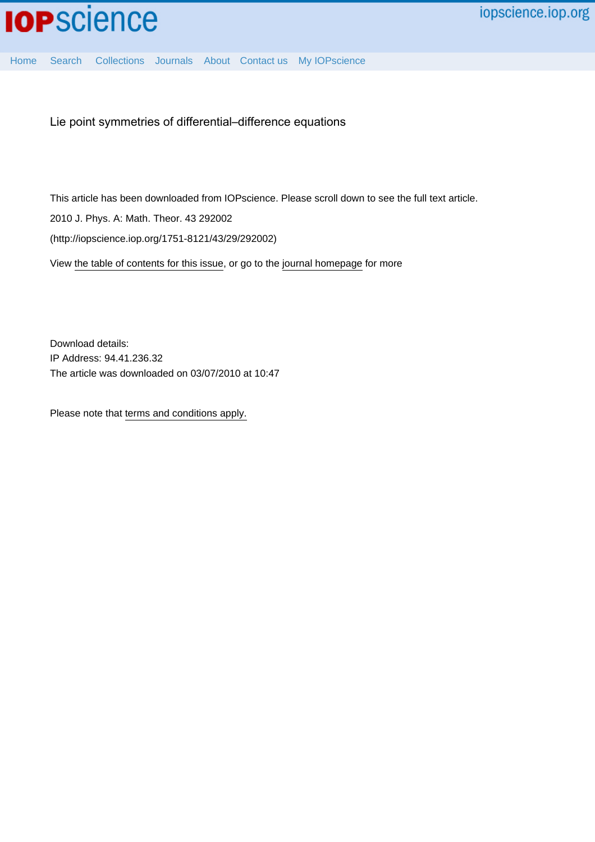

Lie point symmetries of differential–difference equations

This article has been downloaded from IOPscience. Please scroll down to see the full text article.

2010 J. Phys. A: Math. Theor. 43 292002

(http://iopscience.iop.org/1751-8121/43/29/292002)

View [the table of contents for this issue](http://iopscience.iop.org/1751-8121/43/29), or go to the [journal homepage](http://iopscience.iop.org/1751-8121) for more

Download details: IP Address: 94.41.236.32 The article was downloaded on 03/07/2010 at 10:47

Please note that [terms and conditions apply.](http://iopscience.iop.org/page/terms)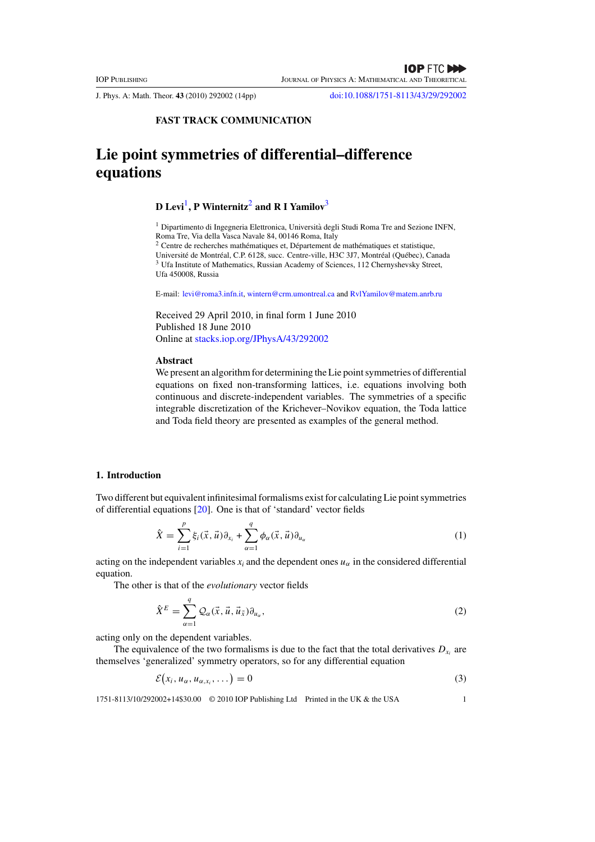<span id="page-1-0"></span>J. Phys. A: Math. Theor. **43** (2010) 292002 (14pp) [doi:10.1088/1751-8113/43/29/292002](http://dx.doi.org/10.1088/1751-8113/43/29/292002)

# **FAST TRACK COMMUNICATION**

# **Lie point symmetries of differential–difference equations**

# **D Levi**1**, P Winternitz**<sup>2</sup> **and R I Yamilov**<sup>3</sup>

<sup>1</sup> Dipartimento di Ingegneria Elettronica, Università degli Studi Roma Tre and Sezione INFN, Roma Tre, Via della Vasca Navale 84, 00146 Roma, Italy

 $^2$  Centre de recherches mathématiques et, Département de mathématiques et statistique,  $\,$ Université de Montréal, C.P. 6128, succ. Centre-ville, H3C 3J7, Montréal (Québec), Canada <sup>3</sup> Ufa Institute of Mathematics, Russian Academy of Sciences, 112 Chernyshevsky Street, Ufa 450008, Russia

E-mail: [levi@roma3.infn.it,](mailto:levi@roma3.infn.it) [wintern@crm.umontreal.ca](mailto:wintern@crm.umontreal.ca) and [RvlYamilov@matem.anrb.ru](mailto:RvlYamilov@matem.anrb.ru)

Received 29 April 2010, in final form 1 June 2010 Published 18 June 2010 Online at [stacks.iop.org/JPhysA/43/292002](http://stacks.iop.org/JPhysA/43/292002)

#### **Abstract**

We present an algorithm for determining the Lie point symmetries of differential equations on fixed non-transforming lattices, i.e. equations involving both continuous and discrete-independent variables. The symmetries of a specific integrable discretization of the Krichever–Novikov equation, the Toda lattice and Toda field theory are presented as examples of the general method.

# **1. Introduction**

Two different but equivalent infinitesimal formalisms exist for calculating Lie point symmetries of differential equations [\[20](#page-13-0)]. One is that of 'standard' vector fields

$$
\hat{X} = \sum_{i=1}^{p} \xi_i(\vec{x}, \vec{u}) \partial_{x_i} + \sum_{\alpha=1}^{q} \phi_\alpha(\vec{x}, \vec{u}) \partial_{u_\alpha} \tag{1}
$$

acting on the independent variables  $x_i$  and the dependent ones  $u_\alpha$  in the considered differential equation.

The other is that of the *evolutionary* vector fields

$$
\hat{X}^{E} = \sum_{\alpha=1}^{q} \mathcal{Q}_{\alpha}(\vec{x}, \vec{u}, \vec{u}_{\vec{x}}) \partial_{u_{\alpha}},
$$
\n(2)

acting only on the dependent variables.

The equivalence of the two formalisms is due to the fact that the total derivatives  $D_{x_i}$  are themselves 'generalized' symmetry operators, so for any differential equation

$$
\mathcal{E}\big(x_i, u_\alpha, u_{\alpha, x_i}, \dots\big) = 0\tag{3}
$$

1751-8113/10/292002+14\$30.00 © 2010 IOP Publishing Ltd Printed in the UK & the USA 1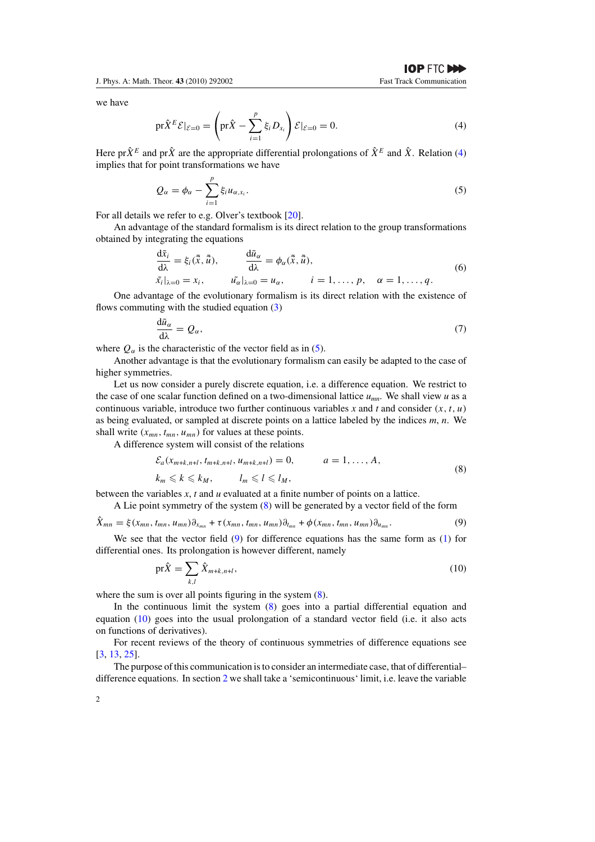we have

$$
\text{pr}\hat{X}^E \mathcal{E}|_{\mathcal{E}=0} = \left(\text{pr}\hat{X} - \sum_{i=1}^p \xi_i D_{x_i}\right) \mathcal{E}|_{\mathcal{E}=0} = 0. \tag{4}
$$

Here pr $\hat{X}^E$  and pr $\hat{X}$  are the appropriate differential prolongations of  $\hat{X}^E$  and  $\hat{X}$ . Relation (4) implies that for point transformations we have

$$
Q_{\alpha} = \phi_{\alpha} - \sum_{i=1}^{p} \xi_i u_{\alpha, x_i}.
$$
 (5)

For all details we refer to e.g. Olver's textbook [\[20\]](#page-13-0).

An advantage of the standard formalism is its direct relation to the group transformations obtained by integrating the equations

$$
\frac{d\tilde{x}_i}{d\lambda} = \xi_i(\tilde{\tilde{x}}, \tilde{\tilde{u}}), \qquad \frac{d\tilde{u}_\alpha}{d\lambda} = \phi_\alpha(\tilde{\tilde{x}}, \tilde{\tilde{u}}), \tilde{x}_i|_{\lambda=0} = x_i, \qquad \tilde{u}_\alpha|_{\lambda=0} = u_\alpha, \qquad i = 1, \dots, p, \quad \alpha = 1, \dots, q.
$$
\n(6)

One advantage of the evolutionary formalism is its direct relation with the existence of flows commuting with the studied equation  $(3)$ 

$$
\frac{d\tilde{u}_{\alpha}}{d\lambda} = Q_{\alpha},\tag{7}
$$

where  $Q_{\alpha}$  is the characteristic of the vector field as in (5).

Another advantage is that the evolutionary formalism can easily be adapted to the case of higher symmetries.

Let us now consider a purely discrete equation, i.e. a difference equation. We restrict to the case of one scalar function defined on a two-dimensional lattice *umn*. We shall view *u* as a continuous variable, introduce two further continuous variables *x* and *t* and consider *(x, t, u)* as being evaluated, or sampled at discrete points on a lattice labeled by the indices *m*, *n*. We shall write  $(x_{mn}, t_{mn}, u_{mn})$  for values at these points.

A difference system will consist of the relations

$$
\mathcal{E}_a(x_{m+k,n+l}, t_{m+k,n+l}, u_{m+k,n+l}) = 0, \qquad a = 1, \dots, A,
$$
  
\n
$$
k_m \leq k \leq k_M, \qquad l_m \leq l \leq l_M,
$$
\n
$$
(8)
$$

between the variables *x*, *t* and *u* evaluated at a finite number of points on a lattice.

A Lie point symmetry of the system (8) will be generated by a vector field of the form

$$
\hat{X}_{mn} = \xi(x_{mn}, t_{mn}, u_{mn})\partial_{x_{mn}} + \tau(x_{mn}, t_{mn}, u_{mn})\partial_{t_{mn}} + \phi(x_{mn}, t_{mn}, u_{mn})\partial_{u_{mn}}.
$$
\n(9)

We see that the vector field (9) for difference equations has the same form as [\(1\)](#page-1-0) for differential ones. Its prolongation is however different, namely

$$
\text{pr}\hat{X} = \sum_{k,l} \hat{X}_{m+k,n+l},\tag{10}
$$

where the sum is over all points figuring in the system  $(8)$ .

In the continuous limit the system  $(8)$  goes into a partial differential equation and equation (10) goes into the usual prolongation of a standard vector field (i.e. it also acts on functions of derivatives).

For recent reviews of the theory of continuous symmetries of difference equations see [\[3](#page-13-0), [13](#page-13-0), [25](#page-14-0)].

The purpose of this communication is to consider an intermediate case, that of differential– difference equations. In section [2](#page-3-0) we shall take a 'semicontinuous' limit, i.e. leave the variable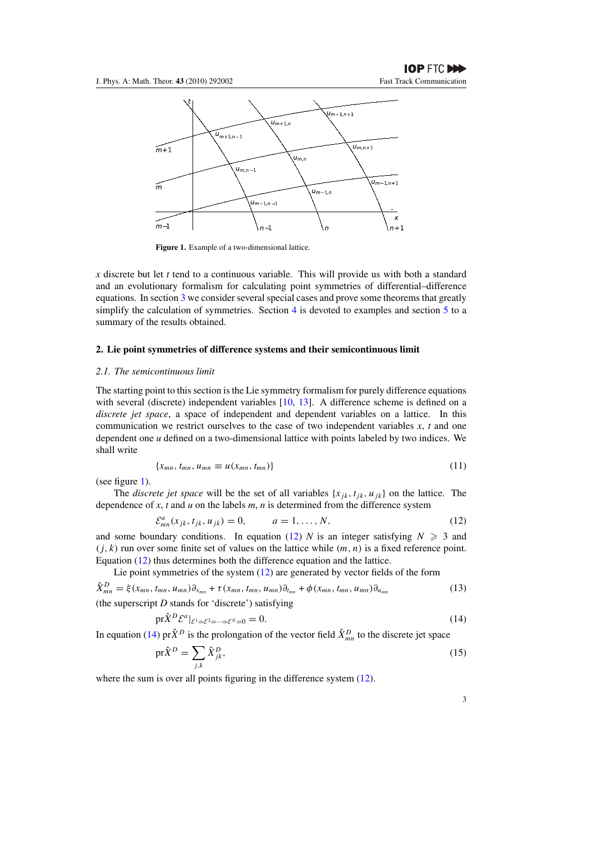<span id="page-3-0"></span>

**Figure 1.** Example of a two-dimensional lattice.

*x* discrete but let *t* tend to a continuous variable. This will provide us with both a standard and an evolutionary formalism for calculating point symmetries of differential–difference equations. In section [3](#page-7-0) we consider several special cases and prove some theorems that greatly simplify the calculation of symmetries. Section [4](#page-10-0) is devoted to examples and section [5](#page-12-0) to a summary of the results obtained.

#### **2. Lie point symmetries of difference systems and their semicontinuous limit**

#### *2.1. The semicontinuous limit*

The starting point to this section is the Lie symmetry formalism for purely difference equations with several (discrete) independent variables [\[10,](#page-13-0) [13](#page-13-0)]. A difference scheme is defined on a *discrete jet space*, a space of independent and dependent variables on a lattice. In this communication we restrict ourselves to the case of two independent variables *x*, *t* and one dependent one *u* defined on a two-dimensional lattice with points labeled by two indices. We shall write

$$
\{x_{mn}, t_{mn}, u_{mn} \equiv u(x_{mn}, t_{mn})\}\tag{11}
$$

(see figure 1).

The *discrete jet space* will be the set of all variables  $\{x_{jk}, t_{jk}, u_{jk}\}$  on the lattice. The dependence of *x*, *t* and *u* on the labels *m*, *n* is determined from the difference system

$$
\mathcal{E}_{mn}^{a}(x_{jk}, t_{jk}, u_{jk}) = 0, \qquad a = 1, ..., N,
$$
\n(12)

and some boundary conditions. In equation (12) *N* is an integer satisfying  $N \geq 3$  and *(j, k)* run over some finite set of values on the lattice while *(m, n)* is a fixed reference point. Equation (12) thus determines both the difference equation and the lattice.

Lie point symmetries of the system  $(12)$  are generated by vector fields of the form

$$
\hat{X}_{mn}^D = \xi(x_{mn}, t_{mn}, u_{mn})\partial_{x_{mn}} + \tau(x_{mn}, t_{mn}, u_{mn})\partial_{t_{mn}} + \phi(x_{mn}, t_{mn}, u_{mn})\partial_{u_{mn}}
$$
(13)

(the superscript *D* stands for 'discrete') satisfying

$$
\text{pr}\hat{X}^D \mathcal{E}^a|_{\mathcal{E}^1 = \mathcal{E}^2 = \dots = \mathcal{E}^N = 0} = 0. \tag{14}
$$

In equation (14)  $pr\hat{X}^D$  is the prolongation of the vector field  $\hat{X}^D_{mn}$  to the discrete jet space

$$
\text{pr}\hat{X}^D = \sum_{j,k} \hat{X}^D_{jk},\tag{15}
$$

where the sum is over all points figuring in the difference system  $(12)$ .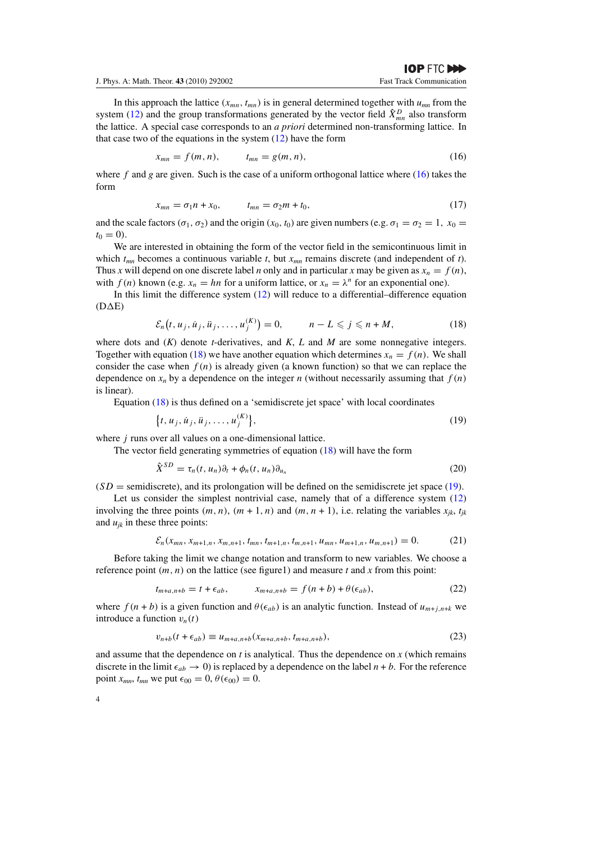<span id="page-4-0"></span>In this approach the lattice  $(x_{mn}, t_{mn})$  is in general determined together with  $u_{mn}$  from the system [\(12\)](#page-3-0) and the group transformations generated by the vector field  $\hat{X}_{mn}^D$  also transform the lattice. A special case corresponds to an *a priori* determined non-transforming lattice. In that case two of the equations in the system  $(12)$  have the form

$$
x_{mn} = f(m, n), \qquad t_{mn} = g(m, n), \qquad (16)
$$

where *f* and *g* are given. Such is the case of a uniform orthogonal lattice where (16) takes the form

$$
x_{mn} = \sigma_1 n + x_0, \qquad t_{mn} = \sigma_2 m + t_0, \tag{17}
$$

and the scale factors  $(\sigma_1, \sigma_2)$  and the origin  $(x_0, t_0)$  are given numbers (e.g.  $\sigma_1 = \sigma_2 = 1$ ,  $x_0 =$  $t_0 = 0$ .

We are interested in obtaining the form of the vector field in the semicontinuous limit in which  $t_{mn}$  becomes a continuous variable *t*, but  $x_{mn}$  remains discrete (and independent of *t*). Thus *x* will depend on one discrete label *n* only and in particular *x* may be given as  $x_n = f(n)$ , with  $f(n)$  known (e.g.  $x_n = hn$  for a uniform lattice, or  $x_n = \lambda^n$  for an exponential one).

In this limit the difference system [\(12\)](#page-3-0) will reduce to a differential–difference equation  $(D\Delta E)$ 

$$
\mathcal{E}_n(t, u_j, \dot{u}_j, \ddot{u}_j, \dots, u_j^{(K)}) = 0, \qquad n - L \leqslant j \leqslant n + M,\tag{18}
$$

where dots and (*K*) denote *t*-derivatives, and *K*, *L* and *M* are some nonnegative integers. Together with equation (18) we have another equation which determines  $x_n = f(n)$ . We shall consider the case when  $f(n)$  is already given (a known function) so that we can replace the dependence on  $x_n$  by a dependence on the integer *n* (without necessarily assuming that  $f(n)$ ) is linear).

Equation (18) is thus defined on a 'semidiscrete jet space' with local coordinates

$$
\{t, u_j, \dot{u}_j, \ddot{u}_j, \dots, u_j^{(K)}\},\tag{19}
$$

where *j* runs over all values on a one-dimensional lattice.

The vector field generating symmetries of equation (18) will have the form

$$
\hat{X}^{SD} = \tau_n(t, u_n)\partial_t + \phi_n(t, u_n)\partial_{u_n}
$$
\n(20)

 $(SD =$  semidiscrete), and its prolongation will be defined on the semidiscrete jet space  $(19)$ .

Let us consider the simplest nontrivial case, namely that of a difference system [\(12\)](#page-3-0) involving the three points  $(m, n)$ ,  $(m + 1, n)$  and  $(m, n + 1)$ , i.e. relating the variables  $x_{ik}$ ,  $t_{ik}$ and  $u_{ik}$  in these three points:

$$
\mathcal{E}_n(x_{mn}, x_{m+1,n}, x_{m,n+1}, t_{mn}, t_{m+1,n}, t_{m,n+1}, u_{mn}, u_{m+1,n}, u_{m,n+1}) = 0.
$$
 (21)

Before taking the limit we change notation and transform to new variables. We choose a reference point  $(m, n)$  on the lattice (see figure1) and measure  $t$  and  $x$  from this point:

$$
t_{m+a,n+b} = t + \epsilon_{ab}, \qquad x_{m+a,n+b} = f(n+b) + \theta(\epsilon_{ab}), \qquad (22)
$$

where  $f(n + b)$  is a given function and  $\theta(\epsilon_{ab})$  is an analytic function. Instead of  $u_{m+j,n+k}$  we introduce a function  $v_n(t)$ 

$$
v_{n+b}(t + \epsilon_{ab}) \equiv u_{m+a, n+b}(x_{m+a, n+b}, t_{m+a, n+b}), \tag{23}
$$

and assume that the dependence on  $t$  is analytical. Thus the dependence on  $x$  (which remains discrete in the limit  $\epsilon_{ab} \rightarrow 0$ ) is replaced by a dependence on the label  $n + b$ . For the reference point  $x_{mn}$ ,  $t_{mn}$  we put  $\epsilon_{00} = 0$ ,  $\theta(\epsilon_{00}) = 0$ .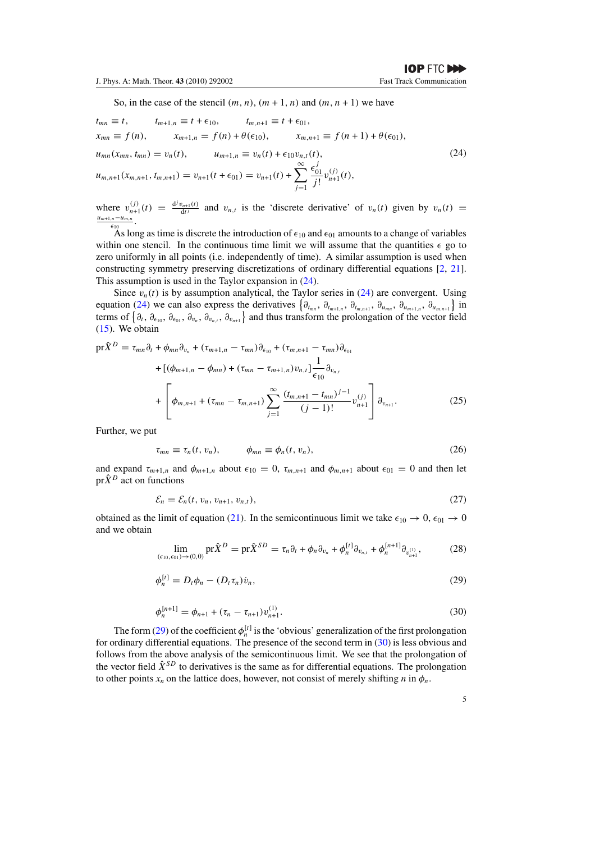<span id="page-5-0"></span>So, in the case of the stencil  $(m, n)$ ,  $(m + 1, n)$  and  $(m, n + 1)$  we have

$$
t_{mn} \equiv t, \qquad t_{m+1,n} \equiv t + \epsilon_{10}, \qquad t_{m,n+1} \equiv t + \epsilon_{01},
$$
  
\n
$$
x_{mn} \equiv f(n), \qquad x_{m+1,n} = f(n) + \theta(\epsilon_{10}), \qquad x_{m,n+1} \equiv f(n+1) + \theta(\epsilon_{01}),
$$
  
\n
$$
u_{mn}(x_{mn}, t_{mn}) = v_n(t), \qquad u_{m+1,n} \equiv v_n(t) + \epsilon_{10}v_{n,t}(t),
$$
  
\n
$$
u_{m,n+1}(x_{m,n+1}, t_{m,n+1}) = v_{n+1}(t + \epsilon_{01}) = v_{n+1}(t) + \sum_{j=1}^{\infty} \frac{\epsilon_{01}^{(j)}}{j!} v_{n+1}^{(j)}(t),
$$
\n(24)

where  $v_{n+1}^{(j)}(t) = \frac{d^j v_{n+1}(t)}{dt^j}$  and  $v_{n,t}$  is the 'discrete derivative' of  $v_n(t)$  given by  $v_n(t) = \frac{u_{m+1,n} - u_{m,n}}{\epsilon_{10}}$ .

As long as time is discrete the introduction of  $\epsilon_{10}$  and  $\epsilon_{01}$  amounts to a change of variables within one stencil. In the continuous time limit we will assume that the quantities  $\epsilon$  go to zero uniformly in all points (i.e. independently of time). A similar assumption is used when constructing symmetry preserving discretizations of ordinary differential equations [\[2,](#page-13-0) [21\]](#page-13-0). This assumption is used in the Taylor expansion in (24).

Since  $v_n(t)$  is by assumption analytical, the Taylor series in (24) are convergent. Using equation (24) we can also express the derivatives  $\{\partial_{t_{mn}}, \partial_{t_{m+1,n}}, \partial_{t_{m,n+1}}, \partial_{u_{m}}\}, \partial_{u_{m+1,n}}, \partial_{u_{m,n+1}}\}$  in terms of  $\{\partial_t, \partial_{\epsilon_{10}}, \partial_{\epsilon_{01}}, \partial_{v_n}, \partial_{v_{n,t}}, \partial_{v_{n+1}}\}$  and thus transform the prolongation of the vector field [\(15\)](#page-3-0). We obtain

$$
\text{pr}\hat{X}^{D} = \tau_{mn}\partial_{t} + \phi_{mn}\partial_{v_{n}} + (\tau_{m+1,n} - \tau_{mn})\partial_{\epsilon_{10}} + (\tau_{m,n+1} - \tau_{mn})\partial_{\epsilon_{01}} + [(\phi_{m+1,n} - \phi_{mn}) + (\tau_{mn} - \tau_{m+1,n})v_{n,t}] \frac{1}{\epsilon_{10}} \partial_{v_{n,t}} + \left[\phi_{m,n+1} + (\tau_{mn} - \tau_{m,n+1})\sum_{j=1}^{\infty} \frac{(t_{m,n+1} - t_{mn})^{j-1}}{(j-1)!} v_{n+1}^{(j)}\right] \partial_{v_{n+1}}.
$$
\n(25)

Further, we put

$$
\tau_{mn} \equiv \tau_n(t, v_n), \qquad \phi_{mn} \equiv \phi_n(t, v_n), \qquad (26)
$$

and expand  $\tau_{m+1,n}$  and  $\phi_{m+1,n}$  about  $\epsilon_{10} = 0$ ,  $\tau_{m,n+1}$  and  $\phi_{m,n+1}$  about  $\epsilon_{01} = 0$  and then let  $pr\hat{X}^D$  act on functions

$$
\mathcal{E}_n = \mathcal{E}_n(t, v_n, v_{n+1}, v_{n,t}),\tag{27}
$$

obtained as the limit of equation [\(21\)](#page-4-0). In the semicontinuous limit we take  $\epsilon_{10} \rightarrow 0$ ,  $\epsilon_{01} \rightarrow 0$ and we obtain

$$
\lim_{(\epsilon_{10}, \epsilon_{01}) \to (0,0)} \text{pr}\hat{X}^D = \text{pr}\hat{X}^{SD} = \tau_n \partial_t + \phi_n \partial_{v_n} + \phi_n^{[t]} \partial_{v_{n,t}} + \phi_n^{[n+1]} \partial_{v_{n+1}^{(1)}},\tag{28}
$$

$$
\phi_n^{[t]} = D_t \phi_n - (D_t \tau_n) \dot{v}_n,\tag{29}
$$

$$
\phi_n^{[n+1]} = \phi_{n+1} + (\tau_n - \tau_{n+1})v_{n+1}^{(1)}.
$$
\n(30)

The form (29) of the coefficient  $\phi_n^{[t]}$  is the 'obvious' generalization of the first prolongation for ordinary differential equations. The presence of the second term in (30) is less obvious and follows from the above analysis of the semicontinuous limit. We see that the prolongation of the vector field  $\hat{X}^{SD}$  to derivatives is the same as for differential equations. The prolongation to other points  $x_n$  on the lattice does, however, not consist of merely shifting *n* in  $\phi_n$ .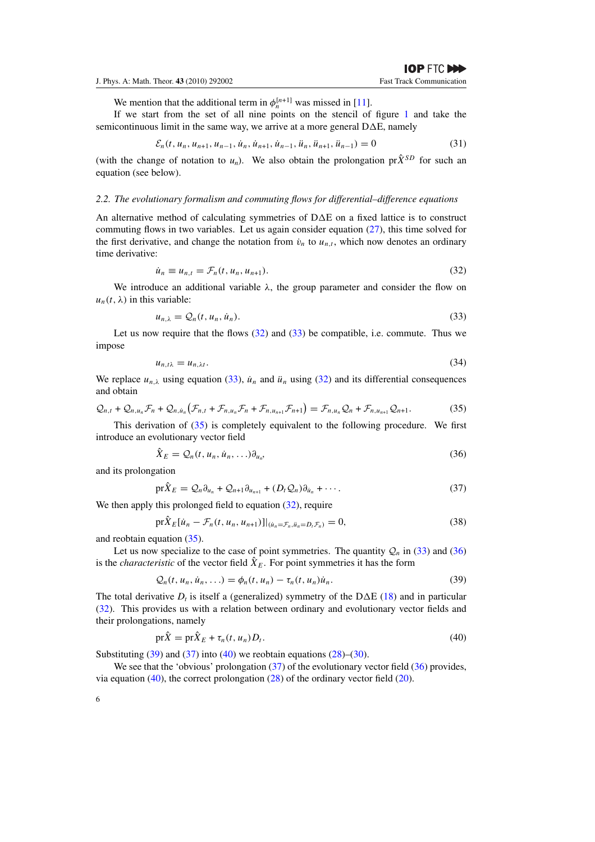We mention that the additional term in  $\phi_n^{[n+1]}$  was missed in [\[11\]](#page-13-0).

<span id="page-6-0"></span>If we start from the set of all nine points on the stencil of figure [1](#page-3-0) and take the semicontinuous limit in the same way, we arrive at a more general  $D\Delta E$ , namely

$$
\mathcal{E}_n(t, u_n, u_{n+1}, u_{n-1}, \dot{u}_n, \dot{u}_{n+1}, \dot{u}_{n-1}, \ddot{u}_n, \ddot{u}_{n+1}, \ddot{u}_{n-1}) = 0 \tag{31}
$$

(with the change of notation to  $u_n$ ). We also obtain the prolongation pr $\hat{X}^{SD}$  for such an equation (see below).

#### *2.2. The evolutionary formalism and commuting flows for differential–difference equations*

An alternative method of calculating symmetries of D $\Delta E$  on a fixed lattice is to construct commuting flows in two variables. Let us again consider equation [\(27\)](#page-5-0), this time solved for the first derivative, and change the notation from  $\dot{v}_n$  to  $u_{n,t}$ , which now denotes an ordinary time derivative:

$$
\dot{u}_n \equiv u_{n,t} = \mathcal{F}_n(t, u_n, u_{n+1}). \tag{32}
$$

We introduce an additional variable  $\lambda$ , the group parameter and consider the flow on  $u_n(t, \lambda)$  in this variable:

$$
u_{n,\lambda} = \mathcal{Q}_n(t, u_n, \dot{u}_n). \tag{33}
$$

Let us now require that the flows  $(32)$  and  $(33)$  be compatible, i.e. commute. Thus we impose

$$
u_{n,t\lambda} = u_{n,\lambda t}.\tag{34}
$$

We replace  $u_{n,\lambda}$  using equation (33),  $\dot{u}_n$  and  $\ddot{u}_n$  using (32) and its differential consequences and obtain

$$
\mathcal{Q}_{n,t} + \mathcal{Q}_{n,u_n} \mathcal{F}_n + \mathcal{Q}_{n,\dot{u}_n} \left( \mathcal{F}_{n,t} + \mathcal{F}_{n,u_n} \mathcal{F}_n + \mathcal{F}_{n,u_{n+1}} \mathcal{F}_{n+1} \right) = \mathcal{F}_{n,u_n} \mathcal{Q}_n + \mathcal{F}_{n,u_{n+1}} \mathcal{Q}_{n+1}.
$$
 (35)

This derivation of (35) is completely equivalent to the following procedure. We first introduce an evolutionary vector field

$$
\hat{X}_E = \mathcal{Q}_n(t, u_n, \dot{u}_n, \ldots) \partial_{u_n},\tag{36}
$$

and its prolongation

$$
\text{pr}\hat{X}_E = \mathcal{Q}_n \partial_{u_n} + \mathcal{Q}_{n+1} \partial_{u_{n+1}} + (D_t \mathcal{Q}_n) \partial_{u_n} + \cdots. \tag{37}
$$

We then apply this prolonged field to equation (32), require

$$
\text{pr}\hat{X}_E[\dot{u}_n - \mathcal{F}_n(t, u_n, u_{n+1})]|_{(\dot{u}_n = \mathcal{F}_n, \ddot{u}_n = D_t \mathcal{F}_n)} = 0,
$$
\n(38)

and reobtain equation (35).

Let us now specialize to the case of point symmetries. The quantity  $Q_n$  in (33) and (36) is the *characteristic* of the vector field  $\hat{X}_E$ . For point symmetries it has the form

$$
Q_n(t, u_n, \dot{u}_n, \ldots) = \phi_n(t, u_n) - \tau_n(t, u_n) \dot{u}_n.
$$
\n(39)

The total derivative  $D_t$  is itself a (generalized) symmetry of the D $\Delta E$  [\(18\)](#page-4-0) and in particular (32). This provides us with a relation between ordinary and evolutionary vector fields and their prolongations, namely

$$
\text{pr}\hat{X} = \text{pr}\hat{X}_E + \tau_n(t, u_n) D_t. \tag{40}
$$

Substituting  $(39)$  and  $(37)$  into  $(40)$  we reobtain equations  $(28)$ – $(30)$ .

We see that the 'obvious' prolongation (37) of the evolutionary vector field (36) provides, via equation (40), the correct prolongation [\(28\)](#page-5-0) of the ordinary vector field [\(20\)](#page-4-0).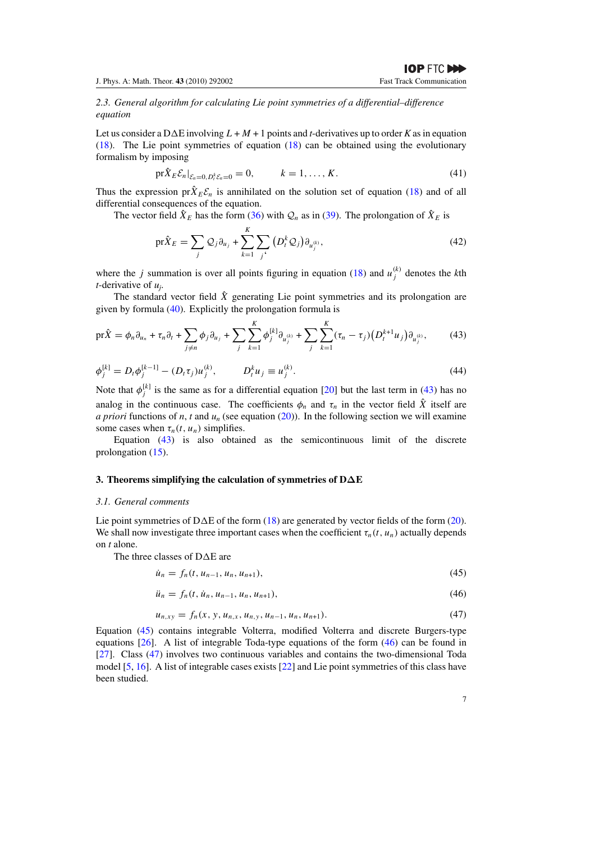<span id="page-7-0"></span>*2.3. General algorithm for calculating Lie point symmetries of a differential–difference equation*

Let us consider a D $\Delta E$  involving  $L + M + 1$  points and *t*-derivatives up to order *K* as in equation [\(18\)](#page-4-0). The Lie point symmetries of equation [\(18\)](#page-4-0) can be obtained using the evolutionary formalism by imposing

$$
\text{pr}\hat{X}_E \mathcal{E}_n|_{\mathcal{E}_n=0, D_t^k \mathcal{E}_n=0} = 0, \qquad k = 1, \dots, K. \tag{41}
$$

Thus the expression  $pr\hat{X}_E \mathcal{E}_n$  is annihilated on the solution set of equation [\(18\)](#page-4-0) and of all differential consequences of the equation.

The vector field  $\hat{X}_E$  has the form [\(36\)](#page-6-0) with  $Q_n$  as in [\(39\)](#page-6-0). The prolongation of  $\hat{X}_E$  is

$$
\text{pr}\hat{X}_E = \sum_j \mathcal{Q}_j \partial_{u_j} + \sum_{k=1}^K \sum_j \left( D_t^k \mathcal{Q}_j \right) \partial_{u_j^{(k)}},\tag{42}
$$

where the *j* summation is over all points figuring in equation [\(18\)](#page-4-0) and  $u_j^{(k)}$  denotes the *k*th *t*-derivative of *uj*.

The standard vector field  $\hat{X}$  generating Lie point symmetries and its prolongation are given by formula [\(40\)](#page-6-0). Explicitly the prolongation formula is

$$
\text{pr}\hat{X} = \phi_n \partial_{u_n} + \tau_n \partial_t + \sum_{j \neq n} \phi_j \partial_{u_j} + \sum_j \sum_{k=1}^K \phi_j^{[k]} \partial_{u_j^{(k)}} + \sum_j \sum_{k=1}^K (\tau_n - \tau_j) \big( D_i^{k+1} u_j \big) \partial_{u_j^{(k)}},\tag{43}
$$

$$
\phi_j^{[k]} = D_t \phi_j^{[k-1]} - (D_t \tau_j) u_j^{(k)}, \qquad D_t^k u_j \equiv u_j^{(k)}.
$$
\n(44)

Note that  $\phi_j^{[k]}$  is the same as for a differential equation [\[20](#page-13-0)] but the last term in (43) has no analog in the continuous case. The coefficients  $\phi_n$  and  $\tau_n$  in the vector field  $\hat{X}$  itself are *a priori* functions of *n*, *t* and  $u_n$  (see equation [\(20\)](#page-4-0)). In the following section we will examine some cases when  $\tau_n(t, u_n)$  simplifies.

Equation (43) is also obtained as the semicontinuous limit of the discrete prolongation [\(15\)](#page-3-0).

#### **3. Theorems simplifying the calculation of symmetries of DΔE**

#### *3.1. General comments*

Lie point symmetries of  $D\Delta E$  of the form [\(18\)](#page-4-0) are generated by vector fields of the form [\(20\)](#page-4-0). We shall now investigate three important cases when the coefficient  $\tau_n(t, u_n)$  actually depends on *t* alone.

The three classes of DAE are

$$
\dot{u}_n = f_n(t, u_{n-1}, u_n, u_{n+1}),\tag{45}
$$

$$
\ddot{u}_n = f_n(t, \dot{u}_n, u_{n-1}, u_n, u_{n+1}),\tag{46}
$$

$$
u_{n,xy} = f_n(x, y, u_{n,x}, u_{n,y}, u_{n-1}, u_n, u_{n+1}).
$$
\n(47)

Equation (45) contains integrable Volterra, modified Volterra and discrete Burgers-type equations  $[26]$ . A list of integrable Toda-type equations of the form  $(46)$  can be found in [\[27](#page-14-0)]. Class (47) involves two continuous variables and contains the two-dimensional Toda model [\[5](#page-13-0), [16\]](#page-13-0). A list of integrable cases exists [\[22\]](#page-13-0) and Lie point symmetries of this class have been studied.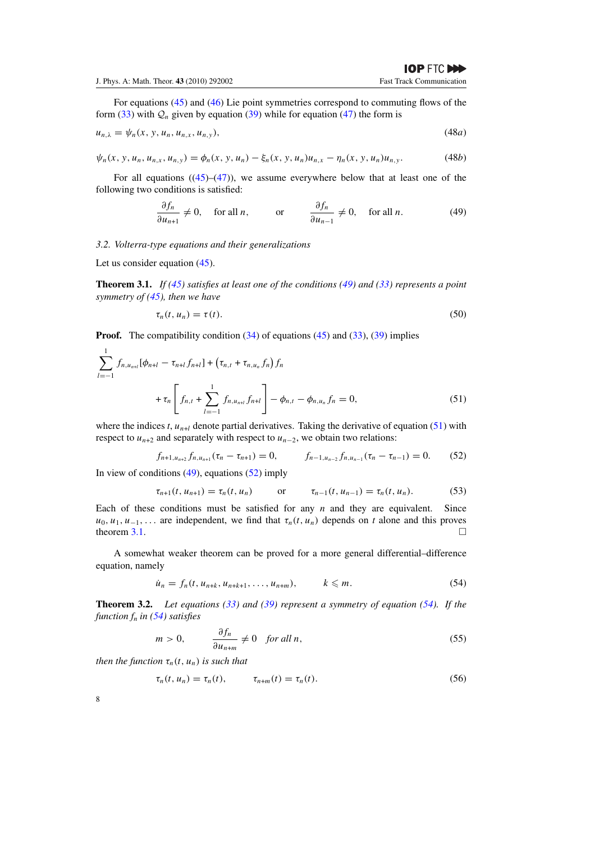<span id="page-8-0"></span>J. Phys. A: Math. Theor. **43** (2010) 292002 Fast Track Communication

For equations [\(45\)](#page-7-0) and [\(46\)](#page-7-0) Lie point symmetries correspond to commuting flows of the form  $(33)$  with  $Q_n$  given by equation  $(39)$  while for equation  $(47)$  the form is

$$
u_{n,\lambda} = \psi_n(x, y, u_n, u_{n,x}, u_{n,y}),
$$
\n(48*a*)

$$
\psi_n(x, y, u_n, u_{n,x}, u_{n,y}) = \phi_n(x, y, u_n) - \xi_n(x, y, u_n)u_{n,x} - \eta_n(x, y, u_n)u_{n,y}.
$$
 (48b)

For all equations  $((45)–(47))$  $((45)–(47))$  $((45)–(47))$  $((45)–(47))$  $((45)–(47))$ , we assume everywhere below that at least one of the following two conditions is satisfied:

$$
\frac{\partial f_n}{\partial u_{n+1}} \neq 0, \quad \text{for all } n, \qquad \text{or} \qquad \frac{\partial f_n}{\partial u_{n-1}} \neq 0, \quad \text{for all } n. \tag{49}
$$

*3.2. Volterra-type equations and their generalizations*

Let us consider equation [\(45\)](#page-7-0).

1

**Theorem 3.1.** *If [\(45\)](#page-7-0) satisfies at least one of the conditions (49) and [\(33\)](#page-6-0) represents a point symmetry of [\(45\)](#page-7-0), then we have*

$$
\tau_n(t, u_n) = \tau(t). \tag{50}
$$

**Proof.** The compatibility condition [\(34\)](#page-6-0) of equations [\(45\)](#page-7-0) and [\(33\)](#page-6-0), [\(39\)](#page-6-0) implies

$$
\sum_{l=-1}^{1} f_{n,u_{n+l}}[\phi_{n+l} - \tau_{n+l}f_{n+l}] + (\tau_{n,t} + \tau_{n,u_n}f_n)f_n
$$
  
+  $\tau_n \left[ f_{n,t} + \sum_{l=-1}^{1} f_{n,u_{n+l}}f_{n+l} \right] - \phi_{n,t} - \phi_{n,u_n}f_n = 0,$  (51)

where the indices  $t$ ,  $u_{n+1}$  denote partial derivatives. Taking the derivative of equation (51) with respect to  $u_{n+2}$  and separately with respect to  $u_{n-2}$ , we obtain two relations:

$$
f_{n+1,u_{n+2}}f_{n,u_{n+1}}(\tau_n-\tau_{n+1})=0, \qquad f_{n-1,u_{n-2}}f_{n,u_{n-1}}(\tau_n-\tau_{n-1})=0. \qquad (52)
$$

In view of conditions  $(49)$ , equations  $(52)$  imply

$$
\tau_{n+1}(t, u_{n+1}) = \tau_n(t, u_n) \qquad \text{or} \qquad \tau_{n-1}(t, u_{n-1}) = \tau_n(t, u_n). \tag{53}
$$

Each of these conditions must be satisfied for any  $n$  and they are equivalent. Since  $u_0, u_1, u_{-1}, \ldots$  are independent, we find that  $\tau_n(t, u_n)$  depends on *t* alone and this proves theorem 3.1.  $\Box$ 

A somewhat weaker theorem can be proved for a more general differential–difference equation, namely

$$
\dot{u}_n = f_n(t, u_{n+k}, u_{n+k+1}, \dots, u_{n+m}), \qquad k \leq m. \tag{54}
$$

**Theorem 3.2.** *Let equations [\(33\)](#page-6-0) and [\(39\)](#page-6-0) represent a symmetry of equation (54). If the function fn in (54) satisfies*

$$
m > 0, \qquad \frac{\partial f_n}{\partial u_{n+m}} \neq 0 \quad \text{for all } n,
$$
\n
$$
(55)
$$

*then the function*  $\tau_n(t, u_n)$  *is such that* 

$$
\tau_n(t, u_n) = \tau_n(t), \qquad \tau_{n+m}(t) = \tau_n(t). \qquad (56)
$$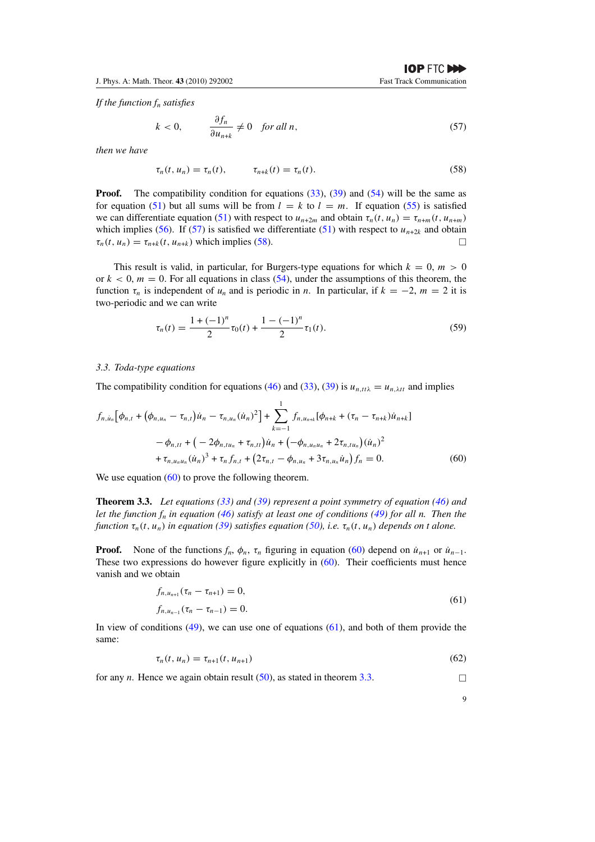<span id="page-9-0"></span>*If the function fn satisfies*

$$
k < 0, \qquad \frac{\partial f_n}{\partial u_{n+k}} \neq 0 \quad \text{for all } n,\tag{57}
$$

*then we have*

$$
\tau_n(t, u_n) = \tau_n(t), \qquad \tau_{n+k}(t) = \tau_n(t). \tag{58}
$$

**Proof.** The compatibility condition for equations [\(33\)](#page-6-0), [\(39\)](#page-6-0) and [\(54\)](#page-8-0) will be the same as for equation [\(51\)](#page-8-0) but all sums will be from  $l = k$  to  $l = m$ . If equation [\(55\)](#page-8-0) is satisfied we can differentiate equation [\(51\)](#page-8-0) with respect to  $u_{n+2m}$  and obtain  $\tau_n(t, u_n) = \tau_{n+m}(t, u_{n+m})$ which implies [\(56\)](#page-8-0). If (57) is satisfied we differentiate [\(51\)](#page-8-0) with respect to  $u_{n+2k}$  and obtain  $\tau_n(t, u_n) = \tau_{n+k}(t, u_{n+k})$  which implies (58).

This result is valid, in particular, for Burgers-type equations for which  $k = 0$ ,  $m > 0$ or  $k < 0$ ,  $m = 0$ . For all equations in class [\(54\)](#page-8-0), under the assumptions of this theorem, the function  $\tau_n$  is independent of  $u_n$  and is periodic in *n*. In particular, if  $k = -2$ ,  $m = 2$  it is two-periodic and we can write

$$
\tau_n(t) = \frac{1 + (-1)^n}{2} \tau_0(t) + \frac{1 - (-1)^n}{2} \tau_1(t).
$$
\n(59)

#### *3.3. Toda-type equations*

The compatibility condition for equations [\(46\)](#page-7-0) and [\(33\)](#page-6-0), [\(39\)](#page-6-0) is  $u_{n,tt\lambda} = u_{n,\lambda tt}$  and implies

$$
f_{n,u_n}[\phi_{n,t} + (\phi_{n,u_n} - \tau_{n,t})\dot{u}_n - \tau_{n,u_n}(\dot{u}_n)^2] + \sum_{k=-1}^1 f_{n,u_{n+k}}[\phi_{n+k} + (\tau_n - \tau_{n+k})\dot{u}_{n+k}]
$$
  
-  $\phi_{n,t} + (-2\phi_{n,tu_n} + \tau_{n,tt})\dot{u}_n + (-\phi_{n,u_nu_n} + 2\tau_{n,tu_n})(\dot{u}_n)^2$   
+  $\tau_{n,u_nu_n}(\dot{u}_n)^3 + \tau_n f_{n,t} + (2\tau_{n,t} - \phi_{n,u_n} + 3\tau_{n,u_n}\dot{u}_n)f_n = 0.$  (60)

We use equation (60) to prove the following theorem.

**Theorem 3.3.** *Let equations [\(33\)](#page-6-0) and [\(39\)](#page-6-0) represent a point symmetry of equation [\(46\)](#page-7-0) and let the function fn in equation [\(46\)](#page-7-0) satisfy at least one of conditions [\(49\)](#page-8-0) for all n. Then the function*  $\tau_n(t, u_n)$  *in equation* [\(39\)](#page-6-0) *satisfies equation* [\(50\)](#page-8-0)*, i.e.*  $\tau_n(t, u_n)$  *depends on t alone.* 

**Proof.** None of the functions  $f_n$ ,  $\phi_n$ ,  $\tau_n$  figuring in equation (60) depend on  $\dot{u}_{n+1}$  or  $\dot{u}_{n-1}$ . These two expressions do however figure explicitly in (60). Their coefficients must hence vanish and we obtain

$$
f_{n,u_{n+1}}(\tau_n - \tau_{n+1}) = 0,
$$
  
\n
$$
f_{n,u_{n-1}}(\tau_n - \tau_{n-1}) = 0.
$$
\n(61)

In view of conditions  $(49)$ , we can use one of equations  $(61)$ , and both of them provide the same:

$$
\tau_n(t, u_n) = \tau_{n+1}(t, u_{n+1})
$$
\n(62)

for any *n*. Hence we again obtain result  $(50)$ , as stated in theorem 3.3.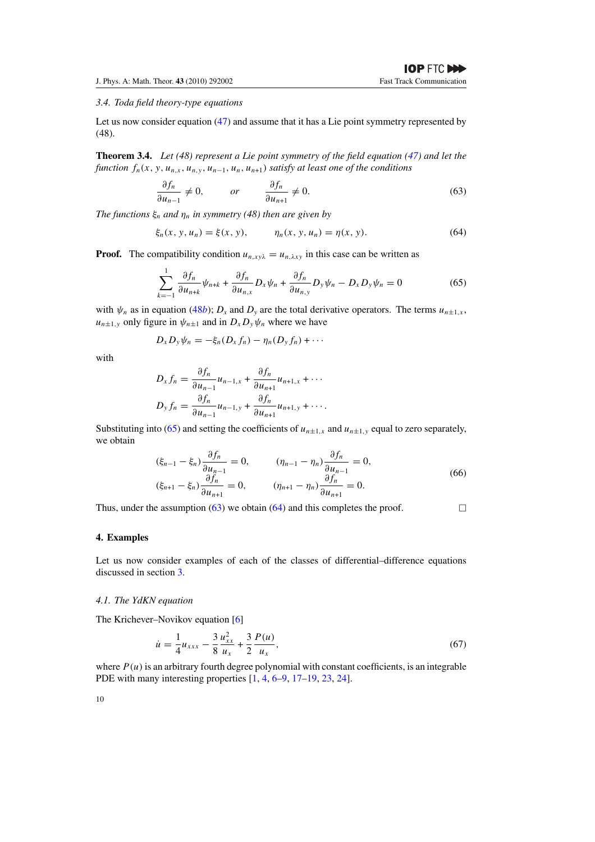## <span id="page-10-0"></span>*3.4. Toda field theory-type equations*

Let us now consider equation [\(47\)](#page-7-0) and assume that it has a Lie point symmetry represented by (48).

**Theorem 3.4.** *Let (48) represent a Lie point symmetry of the field equation [\(47\)](#page-7-0) and let the function*  $f_n(x, y, u_{n,x}, u_{n,y}, u_{n-1}, u_n, u_{n+1})$  *satisfy at least one of the conditions* 

$$
\frac{\partial f_n}{\partial u_{n-1}} \neq 0, \qquad or \qquad \frac{\partial f_n}{\partial u_{n+1}} \neq 0. \tag{63}
$$

*The functions*  $\xi_n$  *and*  $\eta_n$  *in symmetry (48) then are given by* 

$$
\xi_n(x, y, u_n) = \xi(x, y), \qquad \eta_n(x, y, u_n) = \eta(x, y). \tag{64}
$$

**Proof.** The compatibility condition  $u_{n,xy\lambda} = u_{n,\lambda xy}$  in this case can be written as

$$
\sum_{k=-1}^{1} \frac{\partial f_n}{\partial u_{n+k}} \psi_{n+k} + \frac{\partial f_n}{\partial u_{n,x}} D_x \psi_n + \frac{\partial f_n}{\partial u_{n,y}} D_y \psi_n - D_x D_y \psi_n = 0
$$
 (65)

with  $\psi_n$  as in equation [\(48](#page-8-0)*b*);  $D_x$  and  $D_y$  are the total derivative operators. The terms  $u_{n\pm 1,x}$ ,  $u_{n\pm 1,y}$  only figure in  $\psi_{n\pm 1}$  and in  $D_x D_y \psi_n$  where we have

$$
D_x D_y \psi_n = -\xi_n(D_x f_n) - \eta_n(D_y f_n) + \cdots
$$

with

$$
D_x f_n = \frac{\partial f_n}{\partial u_{n-1}} u_{n-1,x} + \frac{\partial f_n}{\partial u_{n+1}} u_{n+1,x} + \cdots
$$
  

$$
D_y f_n = \frac{\partial f_n}{\partial u_{n-1}} u_{n-1,y} + \frac{\partial f_n}{\partial u_{n+1}} u_{n+1,y} + \cdots
$$

Substituting into (65) and setting the coefficients of  $u_{n\pm 1,x}$  and  $u_{n\pm 1,y}$  equal to zero separately, we obtain

$$
(\xi_{n-1} - \xi_n) \frac{\partial f_n}{\partial u_{n-1}} = 0, \qquad (\eta_{n-1} - \eta_n) \frac{\partial f_n}{\partial u_{n-1}} = 0,
$$
  

$$
(\xi_{n+1} - \xi_n) \frac{\partial f_n}{\partial u_{n+1}} = 0, \qquad (\eta_{n+1} - \eta_n) \frac{\partial f_n}{\partial u_{n+1}} = 0.
$$
 (66)

Thus, under the assumption (63) we obtain (64) and this completes the proof.

#### **4. Examples**

Let us now consider examples of each of the classes of differential–difference equations discussed in section [3.](#page-7-0)

#### *4.1. The YdKN equation*

The Krichever–Novikov equation [\[6](#page-13-0)]

$$
\dot{u} = \frac{1}{4} u_{xxx} - \frac{3}{8} \frac{u_{xx}^2}{u_x} + \frac{3}{2} \frac{P(u)}{u_x},\tag{67}
$$

where  $P(u)$  is an arbitrary fourth degree polynomial with constant coefficients, is an integrable PDE with many interesting properties [\[1](#page-13-0), [4](#page-13-0), [6–9](#page-13-0), [17–19,](#page-13-0) [23,](#page-13-0) [24\]](#page-13-0).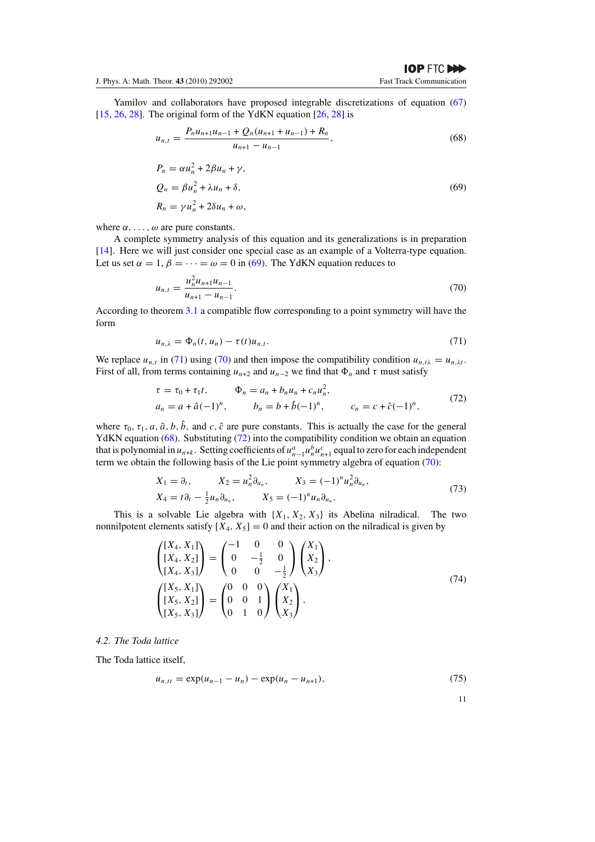<span id="page-11-0"></span>Yamilov and collaborators have proposed integrable discretizations of equation [\(67\)](#page-10-0) [\[15](#page-13-0), [26](#page-14-0), [28](#page-14-0)]. The original form of the YdKN equation  $[26, 28]$  $[26, 28]$  is

$$
u_{n,t} = \frac{P_n u_{n+1} u_{n-1} + Q_n (u_{n+1} + u_{n-1}) + R_n}{u_{n+1} - u_{n-1}},
$$
\n(68)

$$
P_n = \alpha u_n^2 + 2\beta u_n + \gamma,
$$
  
\n
$$
Q_n = \beta u_n^2 + \lambda u_n + \delta,
$$
  
\n
$$
R_n = \gamma u_n^2 + 2\delta u_n + \omega,
$$
\n(69)

where  $\alpha, \ldots, \omega$  are pure constants.

A complete symmetry analysis of this equation and its generalizations is in preparation [\[14](#page-13-0)]. Here we will just consider one special case as an example of a Volterra-type equation. Let us set  $\alpha = 1$ ,  $\beta = \cdots = \omega = 0$  in (69). The YdKN equation reduces to

$$
u_{n,t} = \frac{u_n^2 u_{n+1} u_{n-1}}{u_{n+1} - u_{n-1}}.\tag{70}
$$

According to theorem [3.1](#page-8-0) a compatible flow corresponding to a point symmetry will have the form

$$
u_{n,\lambda} = \Phi_n(t, u_n) - \tau(t)u_{n,t}.\tag{71}
$$

We replace  $u_{n,t}$  in (71) using (70) and then impose the compatibility condition  $u_{n,t\lambda} = u_{n,\lambda t}$ . First of all, from terms containing  $u_{n+2}$  and  $u_{n-2}$  we find that  $\Phi_n$  and  $\tau$  must satisfy

$$
\tau = \tau_0 + \tau_1 t, \qquad \Phi_n = a_n + b_n u_n + c_n u_n^2,
$$
  
\n
$$
a_n = a + \hat{a}(-1)^n, \qquad b_n = b + \hat{b}(-1)^n, \qquad c_n = c + \hat{c}(-1)^n,
$$
\n(72)

where  $\tau_0$ ,  $\tau_1$ , *a*,  $\hat{a}$ , *b*,  $\hat{b}$ , and *c*,  $\hat{c}$  are pure constants. This is actually the case for the general YdKN equation (68). Substituting (72) into the compatibility condition we obtain an equation that is polynomial in  $u_{n+k}$ . Setting coefficients of  $u_{n-1}^a u_n^b u_{n+1}^c$  equal to zero for each independent term we obtain the following basis of the Lie point symmetry algebra of equation (70):

$$
X_1 = \partial_t, \qquad X_2 = u_n^2 \partial_{u_n}, \qquad X_3 = (-1)^n u_n^2 \partial_{u_n},
$$
  
\n
$$
X_4 = t \partial_t - \frac{1}{2} u_n \partial_{u_n}, \qquad X_5 = (-1)^n u_n \partial_{u_n}.
$$
\n(73)

This is a solvable Lie algebra with  $\{X_1, X_2, X_3\}$  its Abelina nilradical. The two nonnilpotent elements satisfy  $[X_4, X_5] = 0$  and their action on the nilradical is given by

$$
\begin{pmatrix}\n[X_4, X_1] \\
[X_4, X_2] \\
[X_4, X_3]\n\end{pmatrix} = \begin{pmatrix}\n-1 & 0 & 0 \\
0 & -\frac{1}{2} & 0 \\
0 & 0 & -\frac{1}{2}\n\end{pmatrix} \begin{pmatrix}\nX_1 \\
X_2 \\
X_3\n\end{pmatrix},
$$
\n(74)\n
$$
\begin{pmatrix}\n[X_5, X_1] \\
[X_5, X_2] \\
[X_5, X_3]\n\end{pmatrix} = \begin{pmatrix}\n0 & 0 & 0 \\
0 & 0 & 1 \\
0 & 1 & 0\n\end{pmatrix} \begin{pmatrix}\nX_1 \\
X_2 \\
X_3\n\end{pmatrix}.
$$

*4.2. The Toda lattice*

The Toda lattice itself,

$$
u_{n,tt} = \exp(u_{n-1} - u_n) - \exp(u_n - u_{n+1}),
$$
\n(75)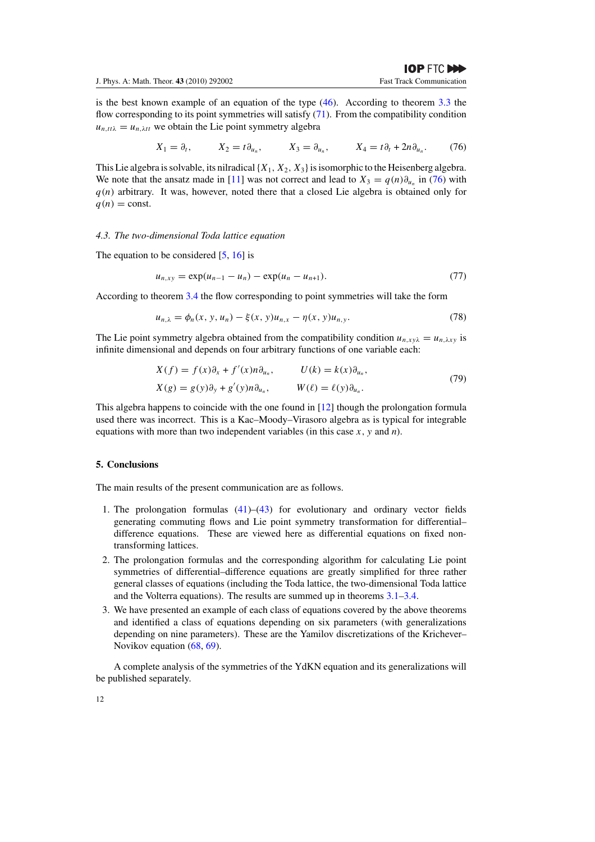<span id="page-12-0"></span>is the best known example of an equation of the type  $(46)$ . According to theorem [3.3](#page-9-0) the flow corresponding to its point symmetries will satisfy [\(71\)](#page-11-0). From the compatibility condition  $u_{n,tt\lambda} = u_{n,\lambda tt}$  we obtain the Lie point symmetry algebra

$$
X_1 = \partial_t, \qquad X_2 = t \partial_{u_n}, \qquad X_3 = \partial_{u_n}, \qquad X_4 = t \partial_t + 2n \partial_{u_n}. \qquad (76)
$$

This Lie algebra is solvable, its nilradical{*X*1*, X*2*, X*3}is isomorphic to the Heisenberg algebra. We note that the ansatz made in [\[11](#page-13-0)] was not correct and lead to  $X_3 = q(n)\partial_{u_n}$  in (76) with  $q(n)$  arbitrary. It was, however, noted there that a closed Lie algebra is obtained only for  $q(n) =$ const.

#### *4.3. The two-dimensional Toda lattice equation*

The equation to be considered [\[5,](#page-13-0) [16\]](#page-13-0) is

$$
u_{n,xy} = \exp(u_{n-1} - u_n) - \exp(u_n - u_{n+1}).
$$
\n(77)

According to theorem [3.4](#page-10-0) the flow corresponding to point symmetries will take the form

$$
u_{n,\lambda} = \phi_n(x, y, u_n) - \xi(x, y)u_{n,x} - \eta(x, y)u_{n,y}.
$$
 (78)

The Lie point symmetry algebra obtained from the compatibility condition  $u_{n,xy\lambda} = u_{n,\lambda xy}$  is infinite dimensional and depends on four arbitrary functions of one variable each:

$$
X(f) = f(x)\partial_x + f'(x)n\partial_{u_n}, \qquad U(k) = k(x)\partial_{u_n},
$$
  
\n
$$
X(g) = g(y)\partial_y + g'(y)n\partial_{u_n}, \qquad W(\ell) = \ell(y)\partial_{u_n}.
$$
\n(79)

This algebra happens to coincide with the one found in [\[12\]](#page-13-0) though the prolongation formula used there was incorrect. This is a Kac–Moody–Virasoro algebra as is typical for integrable equations with more than two independent variables (in this case *x, y* and *n*).

# **5. Conclusions**

The main results of the present communication are as follows.

- 1. The prolongation formulas  $(41)$ – $(43)$  for evolutionary and ordinary vector fields generating commuting flows and Lie point symmetry transformation for differential– difference equations. These are viewed here as differential equations on fixed nontransforming lattices.
- 2. The prolongation formulas and the corresponding algorithm for calculating Lie point symmetries of differential–difference equations are greatly simplified for three rather general classes of equations (including the Toda lattice, the two-dimensional Toda lattice and the Volterra equations). The results are summed up in theorems [3.1–](#page-8-0)[3.4.](#page-10-0)
- 3. We have presented an example of each class of equations covered by the above theorems and identified a class of equations depending on six parameters (with generalizations depending on nine parameters). These are the Yamilov discretizations of the Krichever– Novikov equation [\(68,](#page-11-0) [69\)](#page-11-0).

A complete analysis of the symmetries of the YdKN equation and its generalizations will be published separately.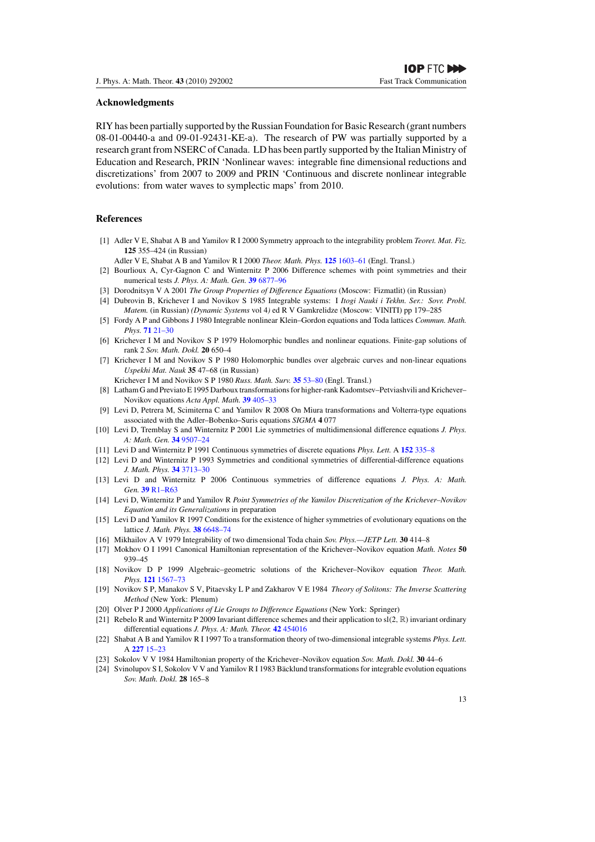#### <span id="page-13-0"></span>**Acknowledgments**

RIY has been partially supported by the Russian Foundation for Basic Research (grant numbers 08-01-00440-a and 09-01-92431-KE-a). The research of PW was partially supported by a research grant from NSERC of Canada. LD has been partly supported by the Italian Ministry of Education and Research, PRIN 'Nonlinear waves: integrable fine dimensional reductions and discretizations' from 2007 to 2009 and PRIN 'Continuous and discrete nonlinear integrable evolutions: from water waves to symplectic maps' from 2010.

## **References**

- [1] Adler V E, Shabat A B and Yamilov R I 2000 Symmetry approach to the integrability problem *Teoret. Mat. Fiz.* **125** 355–424 (in Russian)
- Adler V E, Shabat A B and Yamilov R I 2000 *Theor. Math. Phys.* **125** [1603–61](http://dx.doi.org/10.1023/A:1026602012111) (Engl. Transl.)
- [2] Bourlioux A, Cyr-Gagnon C and Winternitz P 2006 Difference schemes with point symmetries and their numerical tests *J. Phys. A: Math. Gen.* **39** [6877–96](http://dx.doi.org/10.1088/0305-4470/39/22/006)
- [3] Dorodnitsyn V A 2001 *The Group Properties of Difference Equations* (Moscow: Fizmatlit) (in Russian)
- [4] Dubrovin B, Krichever I and Novikov S 1985 Integrable systems: I *Itogi Nauki i Tekhn. Ser.: Sovr. Probl. Matem.* (in Russian) *(Dynamic Systems* vol 4*)* ed R V Gamkrelidze (Moscow: VINITI) pp 179–285
- [5] Fordy A P and Gibbons J 1980 Integrable nonlinear Klein–Gordon equations and Toda lattices *Commun. Math. Phys.* **71** [21–30](http://dx.doi.org/10.1007/BF01205037)
- [6] Krichever I M and Novikov S P 1979 Holomorphic bundles and nonlinear equations. Finite-gap solutions of rank 2 *Sov. Math. Dokl.* **20** 650–4
- [7] Krichever I M and Novikov S P 1980 Holomorphic bundles over algebraic curves and non-linear equations *Uspekhi Mat. Nauk* **35** 47–68 (in Russian)
	- Krichever I M and Novikov S P 1980 *Russ. Math. Surv.* **35** [53–80](http://dx.doi.org/10.1070/RM1980v035n06ABEH001974) (Engl. Transl.)
- [8] Latham G and Previato E 1995 Darboux transformations for higher-rank Kadomtsev–Petviashvili and Krichever– Novikov equations *Acta Appl. Math.* **39** [405–33](http://dx.doi.org/10.1007/BF00994646)
- [9] Levi D, Petrera M, Scimiterna C and Yamilov R 2008 On Miura transformations and Volterra-type equations associated with the Adler–Bobenko–Suris equations *SIGMA* **4** 077
- [10] Levi D, Tremblay S and Winternitz P 2001 Lie symmetries of multidimensional difference equations *J. Phys. A: Math. Gen.* **34** [9507–24](http://dx.doi.org/10.1088/0305-4470/34/44/311)
- [11] Levi D and Winternitz P 1991 Continuous symmetries of discrete equations *Phys. Lett.* A **152** [335–8](http://dx.doi.org/10.1016/0375-9601(91)90733-O)
- [12] Levi D and Winternitz P 1993 Symmetries and conditional symmetries of differential-difference equations *J. Math. Phys.* **34** [3713–30](http://dx.doi.org/10.1063/1.530054)
- [13] Levi D and Winternitz P 2006 Continuous symmetries of difference equations *J. Phys. A: Math. Gen.* **39** [R1–R63](http://dx.doi.org/10.1088/0305-4470/39/2/R01)
- [14] Levi D, Winternitz P and Yamilov R *Point Symmetries of the Yamilov Discretization of the Krichever–Novikov Equation and its Generalizations* in preparation
- [15] Levi D and Yamilov R 1997 Conditions for the existence of higher symmetries of evolutionary equations on the lattice *J. Math. Phys.* **38** [6648–74](http://dx.doi.org/10.1063/1.532230)
- [16] Mikhailov A V 1979 Integrability of two dimensional Toda chain *Sov. Phys.—JETP Lett.* **30** 414–8
- [17] Mokhov O I 1991 Canonical Hamiltonian representation of the Krichever–Novikov equation *Math. Notes* **50** 939–45
- [18] Novikov D P 1999 Algebraic–geometric solutions of the Krichever–Novikov equation *Theor. Math. Phys.* **121** [1567–73](http://dx.doi.org/10.1007/BF02557203)
- [19] Novikov S P, Manakov S V, Pitaevsky L P and Zakharov V E 1984 *Theory of Solitons: The Inverse Scattering Method* (New York: Plenum)
- [20] Olver P J 2000 *Applications of Lie Groups to Difference Equations* (New York: Springer)
- [21] Rebelo R and Winternitz P 2009 Invariant difference schemes and their application to sl*(*2*,* R*)* invariant ordinary differential equations *J. Phys. A: Math. Theor.* **42** [454016](http://dx.doi.org/10.1088/1751-8113/42/45/454016)
- [22] Shabat A B and Yamilov R I 1997 To a transformation theory of two-dimensional integrable systems *Phys. Lett.* A **227** [15–23](http://dx.doi.org/10.1016/S0375-9601(96)00922-X)
- [23] Sokolov V V 1984 Hamiltonian property of the Krichever–Novikov equation *Sov. Math. Dokl.* **30** 44–6
- [24] Svinolupov S I, Sokolov V V and Yamilov R I 1983 Bäcklund transformations for integrable evolution equations *Sov. Math. Dokl.* **28** 165–8